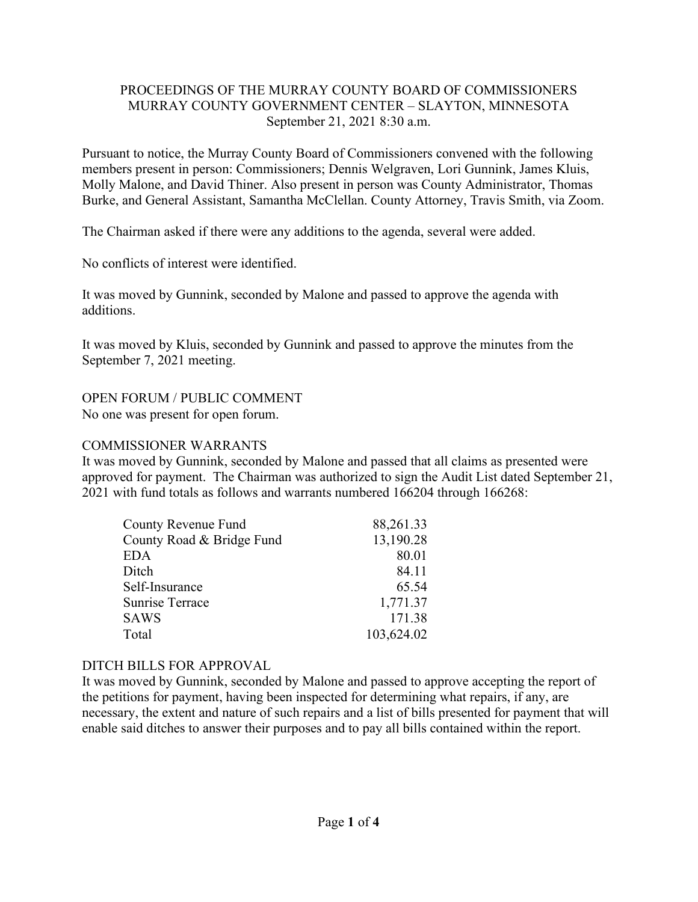# PROCEEDINGS OF THE MURRAY COUNTY BOARD OF COMMISSIONERS MURRAY COUNTY GOVERNMENT CENTER – SLAYTON, MINNESOTA September 21, 2021 8:30 a.m.

Pursuant to notice, the Murray County Board of Commissioners convened with the following members present in person: Commissioners; Dennis Welgraven, Lori Gunnink, James Kluis, Molly Malone, and David Thiner. Also present in person was County Administrator, Thomas Burke, and General Assistant, Samantha McClellan. County Attorney, Travis Smith, via Zoom.

The Chairman asked if there were any additions to the agenda, several were added.

No conflicts of interest were identified.

It was moved by Gunnink, seconded by Malone and passed to approve the agenda with additions.

It was moved by Kluis, seconded by Gunnink and passed to approve the minutes from the September 7, 2021 meeting.

OPEN FORUM / PUBLIC COMMENT No one was present for open forum.

# COMMISSIONER WARRANTS

It was moved by Gunnink, seconded by Malone and passed that all claims as presented were approved for payment. The Chairman was authorized to sign the Audit List dated September 21, 2021 with fund totals as follows and warrants numbered 166204 through 166268:

| 88,261.33  |
|------------|
| 13,190.28  |
| 80.01      |
| 84.11      |
| 65.54      |
| 1,771.37   |
| 171.38     |
| 103,624.02 |
|            |

# DITCH BILLS FOR APPROVAL

It was moved by Gunnink, seconded by Malone and passed to approve accepting the report of the petitions for payment, having been inspected for determining what repairs, if any, are necessary, the extent and nature of such repairs and a list of bills presented for payment that will enable said ditches to answer their purposes and to pay all bills contained within the report.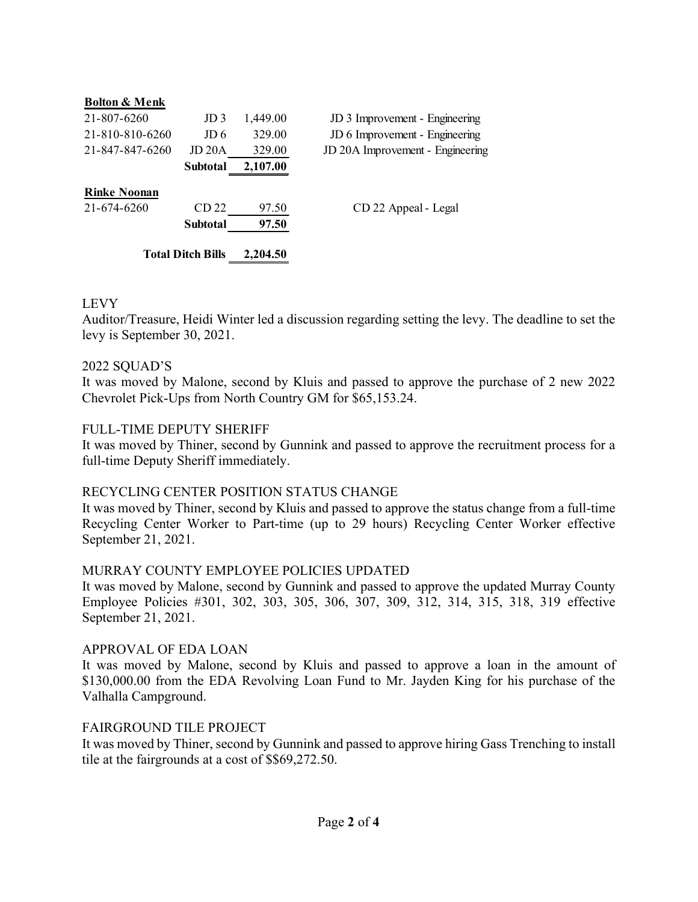| <b>Bolton &amp; Menk</b> |                 |          |                                  |
|--------------------------|-----------------|----------|----------------------------------|
| 21-807-6260              | JD <sub>3</sub> | 1,449.00 | JD 3 Improvement - Engineering   |
| 21-810-810-6260          | JD 6            | 329.00   | JD 6 Improvement - Engineering   |
| 21-847-847-6260          | <b>JD 20A</b>   | 329.00   | JD 20A Improvement - Engineering |
|                          | <b>Subtotal</b> | 2,107.00 |                                  |
| <b>Rinke Noonan</b>      |                 |          |                                  |
| 21-674-6260              | CD 22           | 97.50    | CD 22 Appeal - Legal             |
|                          | <b>Subtotal</b> | 97.50    |                                  |
| <b>Total Ditch Bills</b> |                 | 2,204.50 |                                  |

# LEVY

Auditor/Treasure, Heidi Winter led a discussion regarding setting the levy. The deadline to set the levy is September 30, 2021.

#### 2022 SQUAD'S

It was moved by Malone, second by Kluis and passed to approve the purchase of 2 new 2022 Chevrolet Pick-Ups from North Country GM for \$65,153.24.

### FULL-TIME DEPUTY SHERIFF

It was moved by Thiner, second by Gunnink and passed to approve the recruitment process for a full-time Deputy Sheriff immediately.

#### RECYCLING CENTER POSITION STATUS CHANGE

It was moved by Thiner, second by Kluis and passed to approve the status change from a full-time Recycling Center Worker to Part-time (up to 29 hours) Recycling Center Worker effective September 21, 2021.

#### MURRAY COUNTY EMPLOYEE POLICIES UPDATED

It was moved by Malone, second by Gunnink and passed to approve the updated Murray County Employee Policies #301, 302, 303, 305, 306, 307, 309, 312, 314, 315, 318, 319 effective September 21, 2021.

#### APPROVAL OF EDA LOAN

It was moved by Malone, second by Kluis and passed to approve a loan in the amount of \$130,000.00 from the EDA Revolving Loan Fund to Mr. Jayden King for his purchase of the Valhalla Campground.

#### FAIRGROUND TILE PROJECT

It was moved by Thiner, second by Gunnink and passed to approve hiring Gass Trenching to install tile at the fairgrounds at a cost of \$\$69,272.50.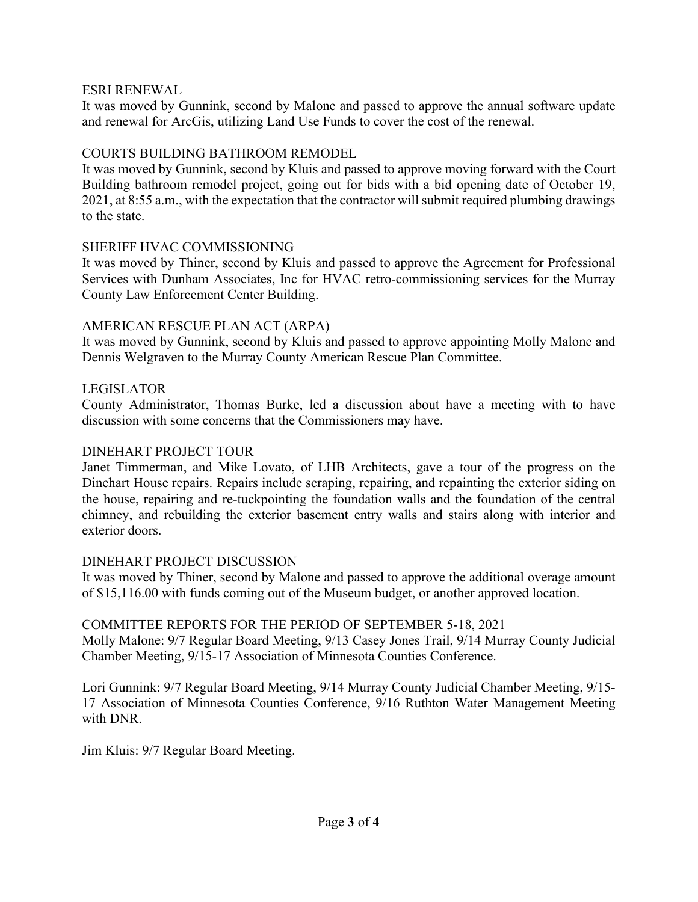### ESRI RENEWAL

It was moved by Gunnink, second by Malone and passed to approve the annual software update and renewal for ArcGis, utilizing Land Use Funds to cover the cost of the renewal.

# COURTS BUILDING BATHROOM REMODEL

It was moved by Gunnink, second by Kluis and passed to approve moving forward with the Court Building bathroom remodel project, going out for bids with a bid opening date of October 19, 2021, at 8:55 a.m., with the expectation that the contractor will submit required plumbing drawings to the state.

# SHERIFF HVAC COMMISSIONING

It was moved by Thiner, second by Kluis and passed to approve the Agreement for Professional Services with Dunham Associates, Inc for HVAC retro-commissioning services for the Murray County Law Enforcement Center Building.

### AMERICAN RESCUE PLAN ACT (ARPA)

It was moved by Gunnink, second by Kluis and passed to approve appointing Molly Malone and Dennis Welgraven to the Murray County American Rescue Plan Committee.

# LEGISLATOR

County Administrator, Thomas Burke, led a discussion about have a meeting with to have discussion with some concerns that the Commissioners may have.

#### DINEHART PROJECT TOUR

Janet Timmerman, and Mike Lovato, of LHB Architects, gave a tour of the progress on the Dinehart House repairs. Repairs include scraping, repairing, and repainting the exterior siding on the house, repairing and re-tuckpointing the foundation walls and the foundation of the central chimney, and rebuilding the exterior basement entry walls and stairs along with interior and exterior doors.

#### DINEHART PROJECT DISCUSSION

It was moved by Thiner, second by Malone and passed to approve the additional overage amount of \$15,116.00 with funds coming out of the Museum budget, or another approved location.

# COMMITTEE REPORTS FOR THE PERIOD OF SEPTEMBER 5-18, 2021

Molly Malone: 9/7 Regular Board Meeting, 9/13 Casey Jones Trail, 9/14 Murray County Judicial Chamber Meeting, 9/15-17 Association of Minnesota Counties Conference.

Lori Gunnink: 9/7 Regular Board Meeting, 9/14 Murray County Judicial Chamber Meeting, 9/15- 17 Association of Minnesota Counties Conference, 9/16 Ruthton Water Management Meeting with DNR.

Jim Kluis: 9/7 Regular Board Meeting.